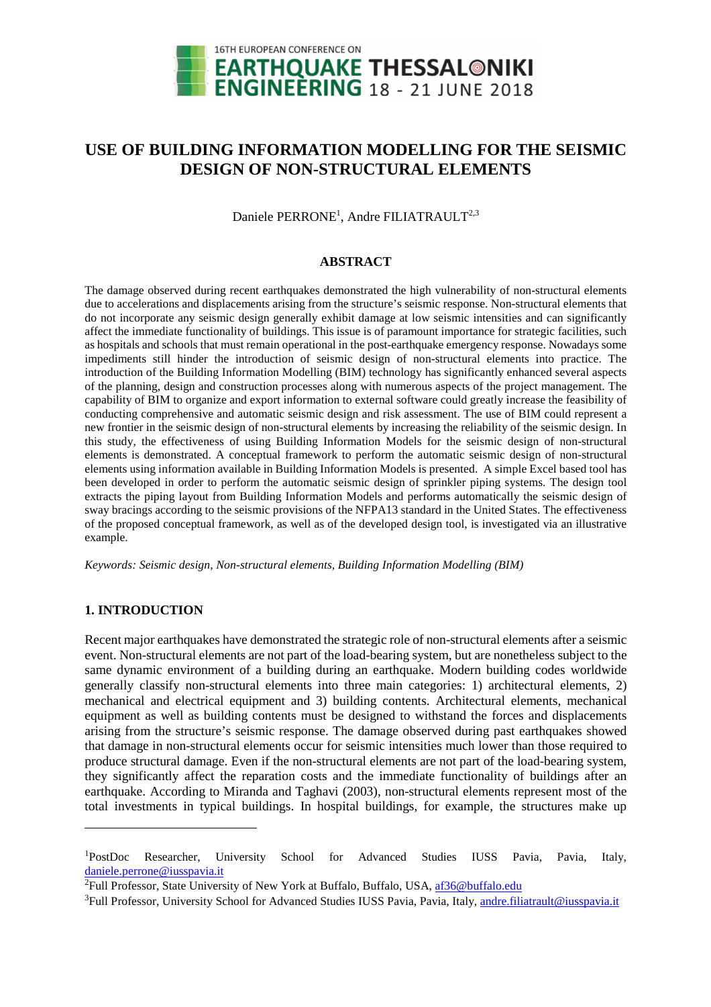

# **USE OF BUILDING INFORMATION MODELLING FOR THE SEISMIC DESIGN OF NON-STRUCTURAL ELEMENTS**

Daniele PERRONE<sup>1</sup>, Andre FILIATRAULT<sup>2,3</sup>

#### **ABSTRACT**

The damage observed during recent earthquakes demonstrated the high vulnerability of non-structural elements due to accelerations and displacements arising from the structure's seismic response. Non-structural elements that do not incorporate any seismic design generally exhibit damage at low seismic intensities and can significantly affect the immediate functionality of buildings. This issue is of paramount importance for strategic facilities, such as hospitals and schools that must remain operational in the post-earthquake emergency response. Nowadays some impediments still hinder the introduction of seismic design of non-structural elements into practice. The introduction of the Building Information Modelling (BIM) technology has significantly enhanced several aspects of the planning, design and construction processes along with numerous aspects of the project management. The capability of BIM to organize and export information to external software could greatly increase the feasibility of conducting comprehensive and automatic seismic design and risk assessment. The use of BIM could represent a new frontier in the seismic design of non-structural elements by increasing the reliability of the seismic design. In this study, the effectiveness of using Building Information Models for the seismic design of non-structural elements is demonstrated. A conceptual framework to perform the automatic seismic design of non-structural elements using information available in Building Information Models is presented. A simple Excel based tool has been developed in order to perform the automatic seismic design of sprinkler piping systems. The design tool extracts the piping layout from Building Information Models and performs automatically the seismic design of sway bracings according to the seismic provisions of the NFPA13 standard in the United States. The effectiveness of the proposed conceptual framework, as well as of the developed design tool, is investigated via an illustrative example.

*Keywords: Seismic design, Non-structural elements, Building Information Modelling (BIM)* 

### **1. INTRODUCTION**

 $\overline{a}$ 

Recent major earthquakes have demonstrated the strategic role of non-structural elements after a seismic event. Non-structural elements are not part of the load-bearing system, but are nonetheless subject to the same dynamic environment of a building during an earthquake. Modern building codes worldwide generally classify non-structural elements into three main categories: 1) architectural elements, 2) mechanical and electrical equipment and 3) building contents. Architectural elements, mechanical equipment as well as building contents must be designed to withstand the forces and displacements arising from the structure's seismic response. The damage observed during past earthquakes showed that damage in non-structural elements occur for seismic intensities much lower than those required to produce structural damage. Even if the non-structural elements are not part of the load-bearing system, they significantly affect the reparation costs and the immediate functionality of buildings after an earthquake. According to Miranda and Taghavi (2003), non-structural elements represent most of the total investments in typical buildings. In hospital buildings, for example, the structures make up

<sup>1</sup>PostDoc Researcher, University School for Advanced Studies IUSS Pavia, Pavia, Italy, daniele.perrone@iusspavia.it

<sup>&</sup>lt;sup>2</sup>Full Professor, State University of New York at Buffalo, Buffalo, USA, af36@buffalo.edu

<sup>&</sup>lt;sup>3</sup>Full Professor, University School for Advanced Studies IUSS Pavia, Pavia, Italy, andre.filiatrault@iusspavia.it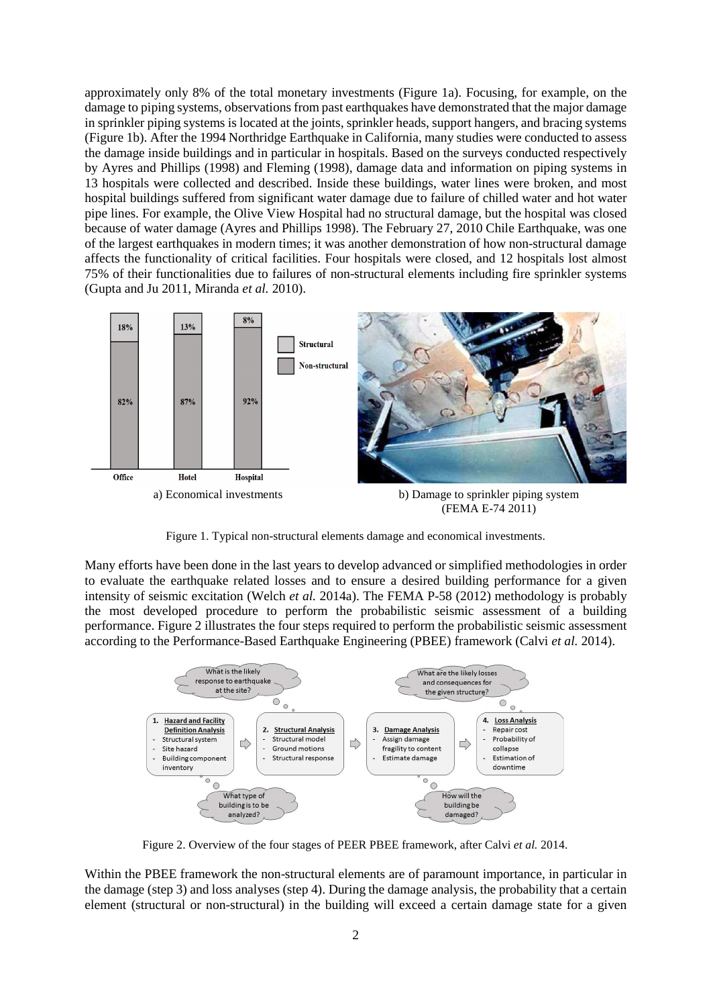approximately only 8% of the total monetary investments (Figure 1a). Focusing, for example, on the damage to piping systems, observations from past earthquakes have demonstrated that the major damage in sprinkler piping systems is located at the joints, sprinkler heads, support hangers, and bracing systems (Figure 1b). After the 1994 Northridge Earthquake in California, many studies were conducted to assess the damage inside buildings and in particular in hospitals. Based on the surveys conducted respectively by Ayres and Phillips (1998) and Fleming (1998), damage data and information on piping systems in 13 hospitals were collected and described. Inside these buildings, water lines were broken, and most hospital buildings suffered from significant water damage due to failure of chilled water and hot water pipe lines. For example, the Olive View Hospital had no structural damage, but the hospital was closed because of water damage (Ayres and Phillips 1998). The February 27, 2010 Chile Earthquake, was one of the largest earthquakes in modern times; it was another demonstration of how non-structural damage affects the functionality of critical facilities. Four hospitals were closed, and 12 hospitals lost almost 75% of their functionalities due to failures of non-structural elements including fire sprinkler systems (Gupta and Ju 2011, Miranda *et al.* 2010).



Figure 1. Typical non-structural elements damage and economical investments.

Many efforts have been done in the last years to develop advanced or simplified methodologies in order to evaluate the earthquake related losses and to ensure a desired building performance for a given intensity of seismic excitation (Welch *et al.* 2014a). The FEMA P-58 (2012) methodology is probably the most developed procedure to perform the probabilistic seismic assessment of a building performance. Figure 2 illustrates the four steps required to perform the probabilistic seismic assessment according to the Performance-Based Earthquake Engineering (PBEE) framework (Calvi *et al.* 2014).



Figure 2. Overview of the four stages of PEER PBEE framework, after Calvi *et al.* 2014.

Within the PBEE framework the non-structural elements are of paramount importance, in particular in the damage (step 3) and loss analyses (step 4). During the damage analysis, the probability that a certain element (structural or non-structural) in the building will exceed a certain damage state for a given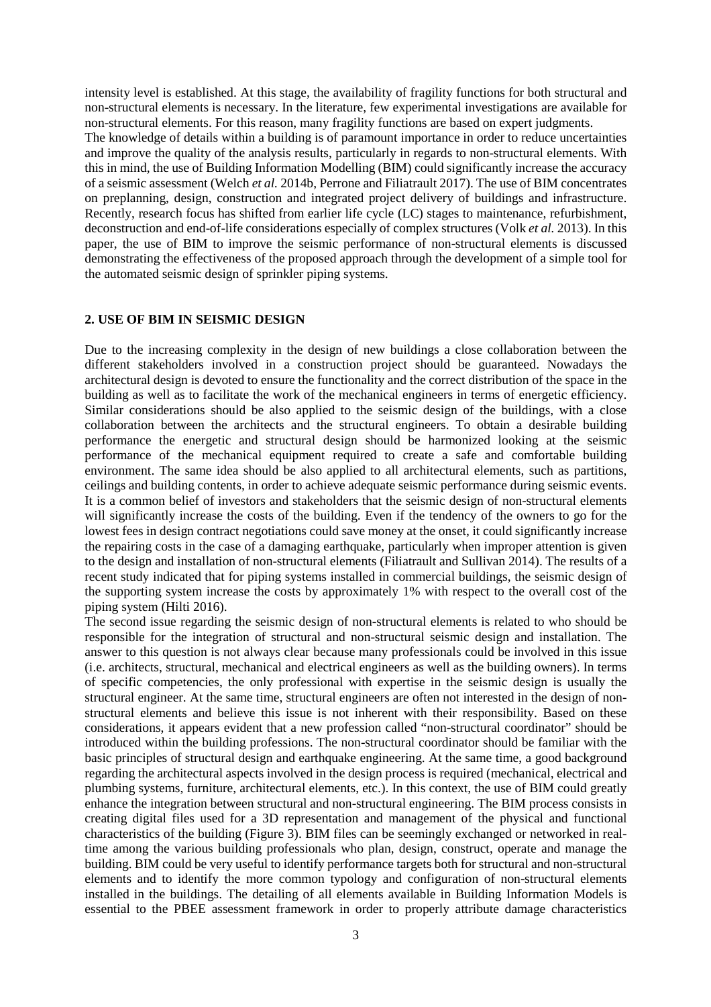intensity level is established. At this stage, the availability of fragility functions for both structural and non-structural elements is necessary. In the literature, few experimental investigations are available for non-structural elements. For this reason, many fragility functions are based on expert judgments. The knowledge of details within a building is of paramount importance in order to reduce uncertainties and improve the quality of the analysis results, particularly in regards to non-structural elements. With this in mind, the use of Building Information Modelling (BIM) could significantly increase the accuracy of a seismic assessment (Welch *et al.* 2014b, Perrone and Filiatrault 2017). The use of BIM concentrates on preplanning, design, construction and integrated project delivery of buildings and infrastructure. Recently, research focus has shifted from earlier life cycle (LC) stages to maintenance, refurbishment, deconstruction and end-of-life considerations especially of complex structures (Volk *et al.* 2013). In this paper, the use of BIM to improve the seismic performance of non-structural elements is discussed demonstrating the effectiveness of the proposed approach through the development of a simple tool for the automated seismic design of sprinkler piping systems.

#### **2. USE OF BIM IN SEISMIC DESIGN**

Due to the increasing complexity in the design of new buildings a close collaboration between the different stakeholders involved in a construction project should be guaranteed. Nowadays the architectural design is devoted to ensure the functionality and the correct distribution of the space in the building as well as to facilitate the work of the mechanical engineers in terms of energetic efficiency. Similar considerations should be also applied to the seismic design of the buildings, with a close collaboration between the architects and the structural engineers. To obtain a desirable building performance the energetic and structural design should be harmonized looking at the seismic performance of the mechanical equipment required to create a safe and comfortable building environment. The same idea should be also applied to all architectural elements, such as partitions, ceilings and building contents, in order to achieve adequate seismic performance during seismic events. It is a common belief of investors and stakeholders that the seismic design of non-structural elements will significantly increase the costs of the building. Even if the tendency of the owners to go for the lowest fees in design contract negotiations could save money at the onset, it could significantly increase the repairing costs in the case of a damaging earthquake, particularly when improper attention is given to the design and installation of non-structural elements (Filiatrault and Sullivan 2014). The results of a recent study indicated that for piping systems installed in commercial buildings, the seismic design of the supporting system increase the costs by approximately 1% with respect to the overall cost of the piping system (Hilti 2016).

The second issue regarding the seismic design of non-structural elements is related to who should be responsible for the integration of structural and non-structural seismic design and installation. The answer to this question is not always clear because many professionals could be involved in this issue (i.e. architects, structural, mechanical and electrical engineers as well as the building owners). In terms of specific competencies, the only professional with expertise in the seismic design is usually the structural engineer. At the same time, structural engineers are often not interested in the design of nonstructural elements and believe this issue is not inherent with their responsibility. Based on these considerations, it appears evident that a new profession called "non-structural coordinator" should be introduced within the building professions. The non-structural coordinator should be familiar with the basic principles of structural design and earthquake engineering. At the same time, a good background regarding the architectural aspects involved in the design process is required (mechanical, electrical and plumbing systems, furniture, architectural elements, etc.). In this context, the use of BIM could greatly enhance the integration between structural and non-structural engineering. The BIM process consists in creating digital files used for a 3D representation and management of the physical and functional characteristics of the building (Figure 3). BIM files can be seemingly exchanged or networked in realtime among the various building professionals who plan, design, construct, operate and manage the building. BIM could be very useful to identify performance targets both for structural and non-structural elements and to identify the more common typology and configuration of non-structural elements installed in the buildings. The detailing of all elements available in Building Information Models is essential to the PBEE assessment framework in order to properly attribute damage characteristics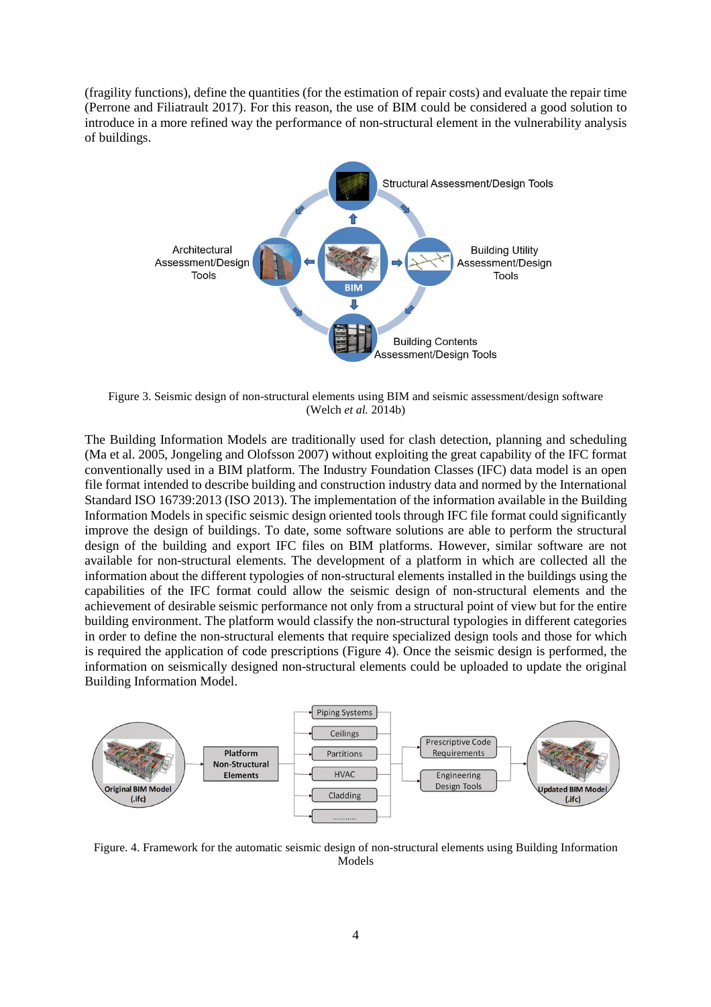(fragility functions), define the quantities (for the estimation of repair costs) and evaluate the repair time (Perrone and Filiatrault 2017). For this reason, the use of BIM could be considered a good solution to introduce in a more refined way the performance of non-structural element in the vulnerability analysis of buildings.



Figure 3. Seismic design of non-structural elements using BIM and seismic assessment/design software (Welch *et al.* 2014b)

The Building Information Models are traditionally used for clash detection, planning and scheduling (Ma et al. 2005, Jongeling and Olofsson 2007) without exploiting the great capability of the IFC format conventionally used in a BIM platform. The Industry Foundation Classes (IFC) data model is an open file format intended to describe building and construction industry data and normed by the International Standard ISO 16739:2013 (ISO 2013). The implementation of the information available in the Building Information Models in specific seismic design oriented tools through IFC file format could significantly improve the design of buildings. To date, some software solutions are able to perform the structural design of the building and export IFC files on BIM platforms. However, similar software are not available for non-structural elements. The development of a platform in which are collected all the information about the different typologies of non-structural elements installed in the buildings using the capabilities of the IFC format could allow the seismic design of non-structural elements and the achievement of desirable seismic performance not only from a structural point of view but for the entire building environment. The platform would classify the non-structural typologies in different categories in order to define the non-structural elements that require specialized design tools and those for which is required the application of code prescriptions (Figure 4). Once the seismic design is performed, the information on seismically designed non-structural elements could be uploaded to update the original Building Information Model.



Figure. 4. Framework for the automatic seismic design of non-structural elements using Building Information Models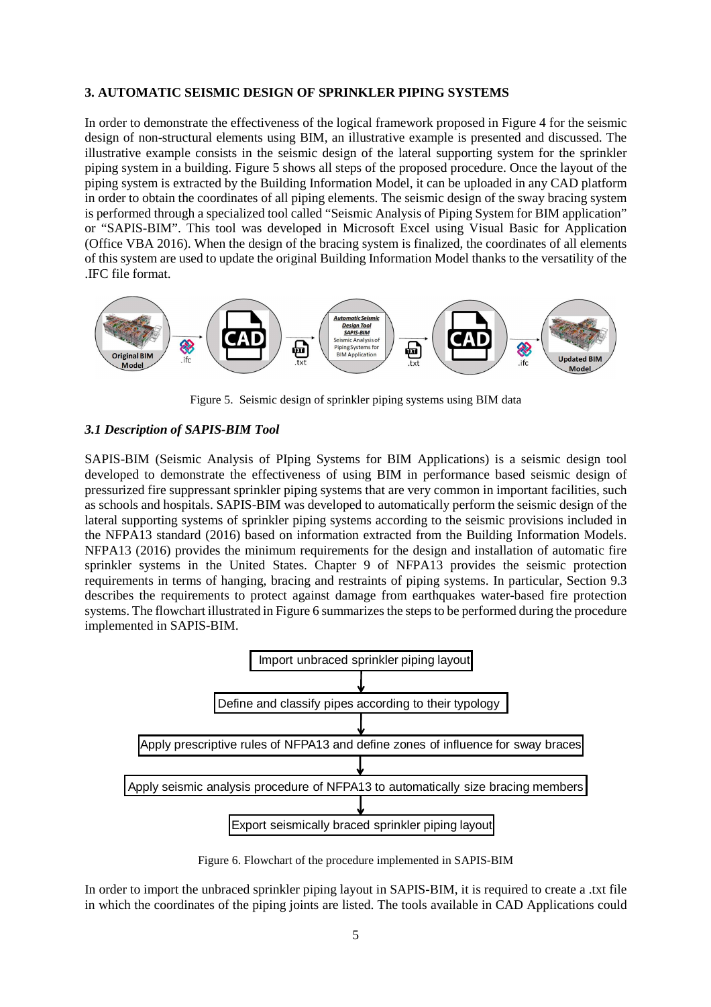#### **3. AUTOMATIC SEISMIC DESIGN OF SPRINKLER PIPING SYSTEMS**

In order to demonstrate the effectiveness of the logical framework proposed in Figure 4 for the seismic design of non-structural elements using BIM, an illustrative example is presented and discussed. The illustrative example consists in the seismic design of the lateral supporting system for the sprinkler piping system in a building. Figure 5 shows all steps of the proposed procedure. Once the layout of the piping system is extracted by the Building Information Model, it can be uploaded in any CAD platform in order to obtain the coordinates of all piping elements. The seismic design of the sway bracing system is performed through a specialized tool called "Seismic Analysis of Piping System for BIM application" or "SAPIS-BIM". This tool was developed in Microsoft Excel using Visual Basic for Application (Office VBA 2016). When the design of the bracing system is finalized, the coordinates of all elements of this system are used to update the original Building Information Model thanks to the versatility of the .IFC file format.



Figure 5. Seismic design of sprinkler piping systems using BIM data

#### *3.1 Description of SAPIS-BIM Tool*

SAPIS-BIM (Seismic Analysis of PIping Systems for BIM Applications) is a seismic design tool developed to demonstrate the effectiveness of using BIM in performance based seismic design of pressurized fire suppressant sprinkler piping systems that are very common in important facilities, such as schools and hospitals. SAPIS-BIM was developed to automatically perform the seismic design of the lateral supporting systems of sprinkler piping systems according to the seismic provisions included in the NFPA13 standard (2016) based on information extracted from the Building Information Models. NFPA13 (2016) provides the minimum requirements for the design and installation of automatic fire sprinkler systems in the United States. Chapter 9 of NFPA13 provides the seismic protection requirements in terms of hanging, bracing and restraints of piping systems. In particular, Section 9.3 describes the requirements to protect against damage from earthquakes water-based fire protection systems. The flowchart illustrated in Figure 6 summarizes the steps to be performed during the procedure implemented in SAPIS-BIM.



Figure 6. Flowchart of the procedure implemented in SAPIS-BIM

In order to import the unbraced sprinkler piping layout in SAPIS-BIM, it is required to create a .txt file in which the coordinates of the piping joints are listed. The tools available in CAD Applications could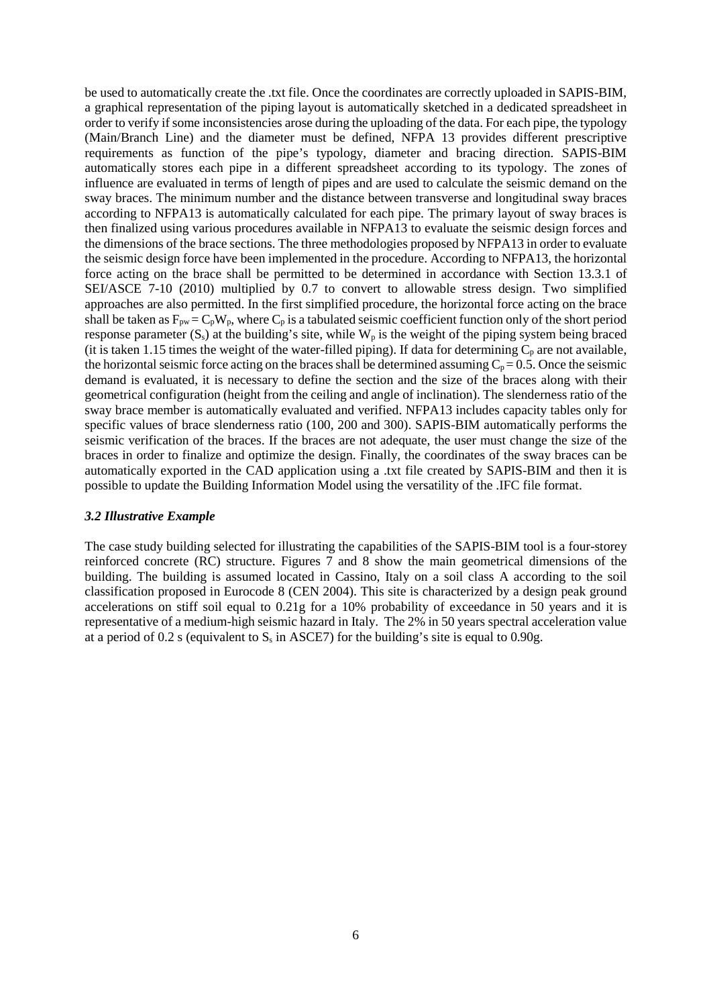be used to automatically create the .txt file. Once the coordinates are correctly uploaded in SAPIS-BIM, a graphical representation of the piping layout is automatically sketched in a dedicated spreadsheet in order to verify if some inconsistencies arose during the uploading of the data. For each pipe, the typology (Main/Branch Line) and the diameter must be defined, NFPA 13 provides different prescriptive requirements as function of the pipe's typology, diameter and bracing direction. SAPIS-BIM automatically stores each pipe in a different spreadsheet according to its typology. The zones of influence are evaluated in terms of length of pipes and are used to calculate the seismic demand on the sway braces. The minimum number and the distance between transverse and longitudinal sway braces according to NFPA13 is automatically calculated for each pipe. The primary layout of sway braces is then finalized using various procedures available in NFPA13 to evaluate the seismic design forces and the dimensions of the brace sections. The three methodologies proposed by NFPA13 in order to evaluate the seismic design force have been implemented in the procedure. According to NFPA13, the horizontal force acting on the brace shall be permitted to be determined in accordance with Section 13.3.1 of SEI/ASCE 7-10 (2010) multiplied by 0.7 to convert to allowable stress design. Two simplified approaches are also permitted. In the first simplified procedure, the horizontal force acting on the brace shall be taken as  $F_{pw} = C_pW_p$ , where  $C_p$  is a tabulated seismic coefficient function only of the short period response parameter  $(S_s)$  at the building's site, while  $W_p$  is the weight of the piping system being braced (it is taken 1.15 times the weight of the water-filled piping). If data for determining  $C_p$  are not available, the horizontal seismic force acting on the braces shall be determined assuming  $C_p = 0.5$ . Once the seismic demand is evaluated, it is necessary to define the section and the size of the braces along with their geometrical configuration (height from the ceiling and angle of inclination). The slenderness ratio of the sway brace member is automatically evaluated and verified. NFPA13 includes capacity tables only for specific values of brace slenderness ratio (100, 200 and 300). SAPIS-BIM automatically performs the seismic verification of the braces. If the braces are not adequate, the user must change the size of the braces in order to finalize and optimize the design. Finally, the coordinates of the sway braces can be automatically exported in the CAD application using a .txt file created by SAPIS-BIM and then it is possible to update the Building Information Model using the versatility of the .IFC file format.

#### *3.2 Illustrative Example*

The case study building selected for illustrating the capabilities of the SAPIS-BIM tool is a four-storey reinforced concrete (RC) structure. Figures 7 and 8 show the main geometrical dimensions of the building. The building is assumed located in Cassino, Italy on a soil class A according to the soil classification proposed in Eurocode 8 (CEN 2004). This site is characterized by a design peak ground accelerations on stiff soil equal to 0.21g for a 10% probability of exceedance in 50 years and it is representative of a medium-high seismic hazard in Italy. The 2% in 50 years spectral acceleration value at a period of 0.2 s (equivalent to S<sub>s</sub> in ASCE7) for the building's site is equal to 0.90g.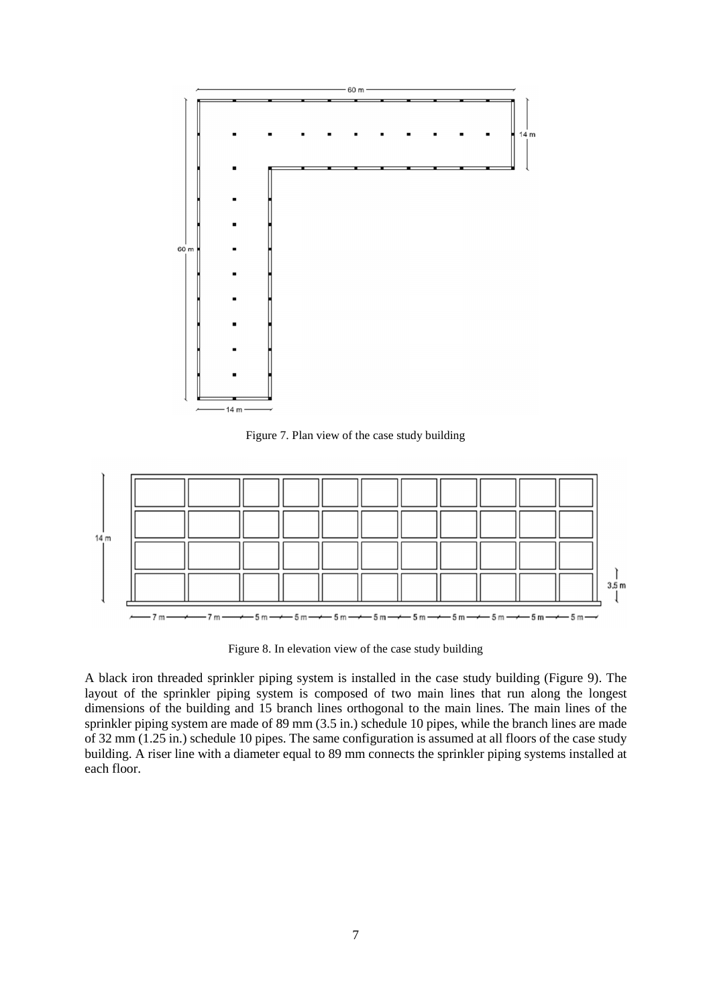

Figure 7. Plan view of the case study building



Figure 8. In elevation view of the case study building

A black iron threaded sprinkler piping system is installed in the case study building (Figure 9). The layout of the sprinkler piping system is composed of two main lines that run along the longest dimensions of the building and 15 branch lines orthogonal to the main lines. The main lines of the sprinkler piping system are made of 89 mm (3.5 in.) schedule 10 pipes, while the branch lines are made of 32 mm (1.25 in.) schedule 10 pipes. The same configuration is assumed at all floors of the case study building. A riser line with a diameter equal to 89 mm connects the sprinkler piping systems installed at each floor.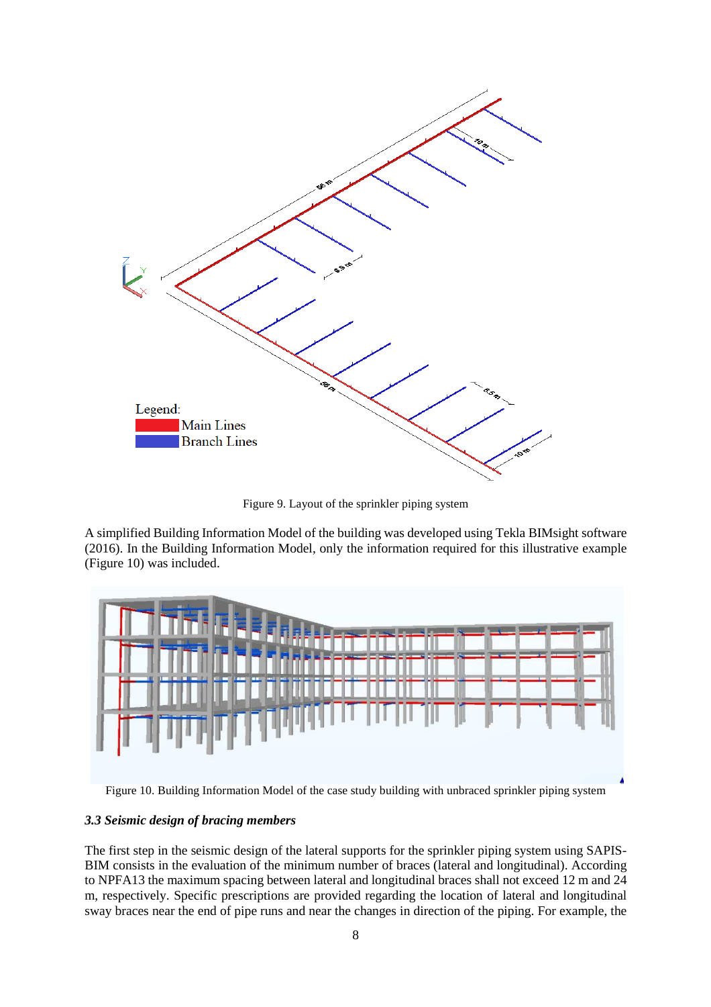

Figure 9. Layout of the sprinkler piping system

A simplified Building Information Model of the building was developed using Tekla BIMsight software (2016). In the Building Information Model, only the information required for this illustrative example (Figure 10) was included.



Figure 10. Building Information Model of the case study building with unbraced sprinkler piping system

# *3.3 Seismic design of bracing members*

The first step in the seismic design of the lateral supports for the sprinkler piping system using SAPIS-BIM consists in the evaluation of the minimum number of braces (lateral and longitudinal). According to NPFA13 the maximum spacing between lateral and longitudinal braces shall not exceed 12 m and 24 m, respectively. Specific prescriptions are provided regarding the location of lateral and longitudinal sway braces near the end of pipe runs and near the changes in direction of the piping. For example, the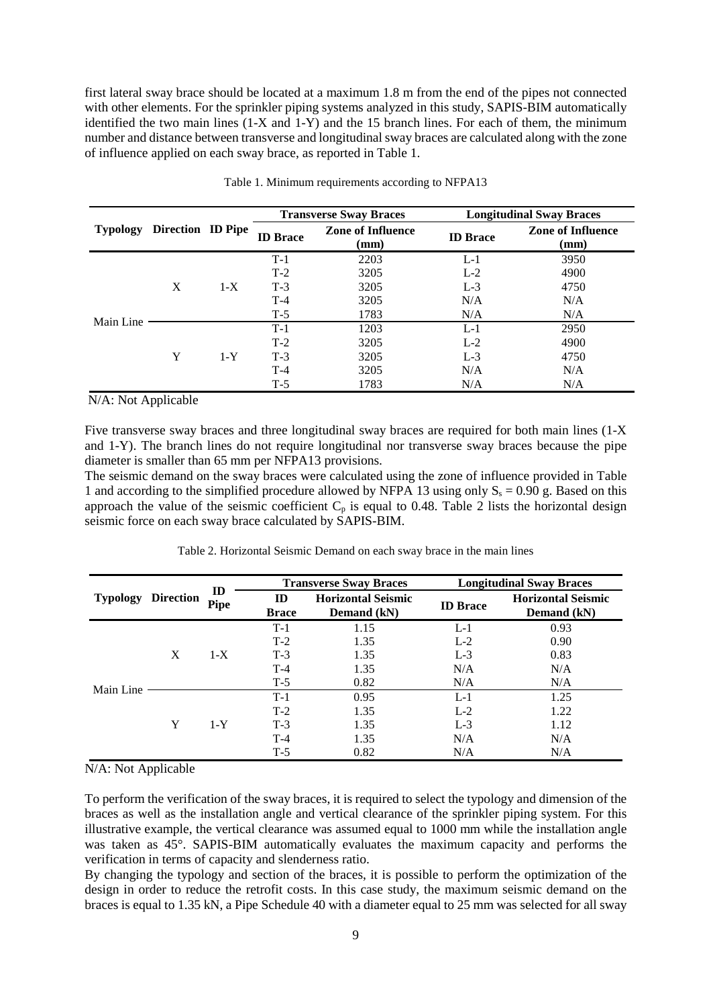first lateral sway brace should be located at a maximum 1.8 m from the end of the pipes not connected with other elements. For the sprinkler piping systems analyzed in this study, SAPIS-BIM automatically identified the two main lines (1-X and 1-Y) and the 15 branch lines. For each of them, the minimum number and distance between transverse and longitudinal sway braces are calculated along with the zone of influence applied on each sway brace, as reported in Table 1.

| <b>Typology</b> | <b>Direction ID Pipe</b> |       | <b>Transverse Sway Braces</b> |                                  | <b>Longitudinal Sway Braces</b> |                                  |  |
|-----------------|--------------------------|-------|-------------------------------|----------------------------------|---------------------------------|----------------------------------|--|
|                 |                          |       | <b>ID</b> Brace               | <b>Zone of Influence</b><br>(mm) | <b>ID</b> Brace                 | <b>Zone of Influence</b><br>(mm) |  |
| Main Line       | X                        | $1-X$ | $T-1$                         | 2203                             | $L-1$                           | 3950                             |  |
|                 |                          |       | $T-2$                         | 3205                             | $L-2$                           | 4900                             |  |
|                 |                          |       | $T-3$                         | 3205                             | $L-3$                           | 4750                             |  |
|                 |                          |       | $T-4$                         | 3205                             | N/A                             | N/A                              |  |
|                 |                          |       | $T-5$                         | 1783                             | N/A                             | N/A                              |  |
|                 | Y                        | $1-Y$ | $T-1$                         | 1203                             | $L-1$                           | 2950                             |  |
|                 |                          |       | $T-2$                         | 3205                             | $L-2$                           | 4900                             |  |
|                 |                          |       | $T-3$                         | 3205                             | $L-3$                           | 4750                             |  |
|                 |                          |       | $T-4$                         | 3205                             | N/A                             | N/A                              |  |
|                 |                          |       | $T-5$                         | 1783                             | N/A                             | N/A                              |  |

Table 1. Minimum requirements according to NFPA13

N/A: Not Applicable

Five transverse sway braces and three longitudinal sway braces are required for both main lines (1-X and 1-Y). The branch lines do not require longitudinal nor transverse sway braces because the pipe diameter is smaller than 65 mm per NFPA13 provisions.

The seismic demand on the sway braces were calculated using the zone of influence provided in Table 1 and according to the simplified procedure allowed by NFPA 13 using only  $S_8 = 0.90$  g. Based on this approach the value of the seismic coefficient  $C_p$  is equal to 0.48. Table 2 lists the horizontal design seismic force on each sway brace calculated by SAPIS-BIM.

|                  |             |                    |                                          | <b>Longitudinal Sway Braces</b> |                                                                                                |  |
|------------------|-------------|--------------------|------------------------------------------|---------------------------------|------------------------------------------------------------------------------------------------|--|
| <b>Direction</b> | <b>Pipe</b> | ID<br><b>Brace</b> | <b>Horizontal Seismic</b><br>Demand (kN) | <b>ID</b> Brace                 | <b>Horizontal Seismic</b><br>Demand (kN)<br>0.93<br>0.90<br>0.83<br>N/A<br>N/A<br>1.25<br>1.22 |  |
| X                | $1-X$       | $T-1$              | 1.15                                     | $L-1$                           |                                                                                                |  |
|                  |             | $T-2$              | 1.35                                     | $L-2$                           |                                                                                                |  |
|                  |             | $T-3$              | 1.35                                     | $L-3$                           |                                                                                                |  |
|                  |             | $T-4$              | 1.35                                     | N/A                             |                                                                                                |  |
|                  |             | $T-5$              | 0.82                                     | N/A                             |                                                                                                |  |
|                  |             | $T-1$              | 0.95                                     | $L-1$                           |                                                                                                |  |
|                  | $1-Y$       | $T-2$              | 1.35                                     | $L-2$                           |                                                                                                |  |
|                  |             | $T-3$              | 1.35                                     | $L-3$                           | 1.12                                                                                           |  |
|                  |             | $\mathbf{D}$       |                                          | <b>Transverse Sway Braces</b>   |                                                                                                |  |

Table 2. Horizontal Seismic Demand on each sway brace in the main lines

N/A: Not Applicable

To perform the verification of the sway braces, it is required to select the typology and dimension of the braces as well as the installation angle and vertical clearance of the sprinkler piping system. For this illustrative example, the vertical clearance was assumed equal to 1000 mm while the installation angle was taken as 45°. SAPIS-BIM automatically evaluates the maximum capacity and performs the verification in terms of capacity and slenderness ratio.

T-4 1.35 N/A N/A T-5 0.82 N/A N/A

By changing the typology and section of the braces, it is possible to perform the optimization of the design in order to reduce the retrofit costs. In this case study, the maximum seismic demand on the braces is equal to 1.35 kN, a Pipe Schedule 40 with a diameter equal to 25 mm was selected for all sway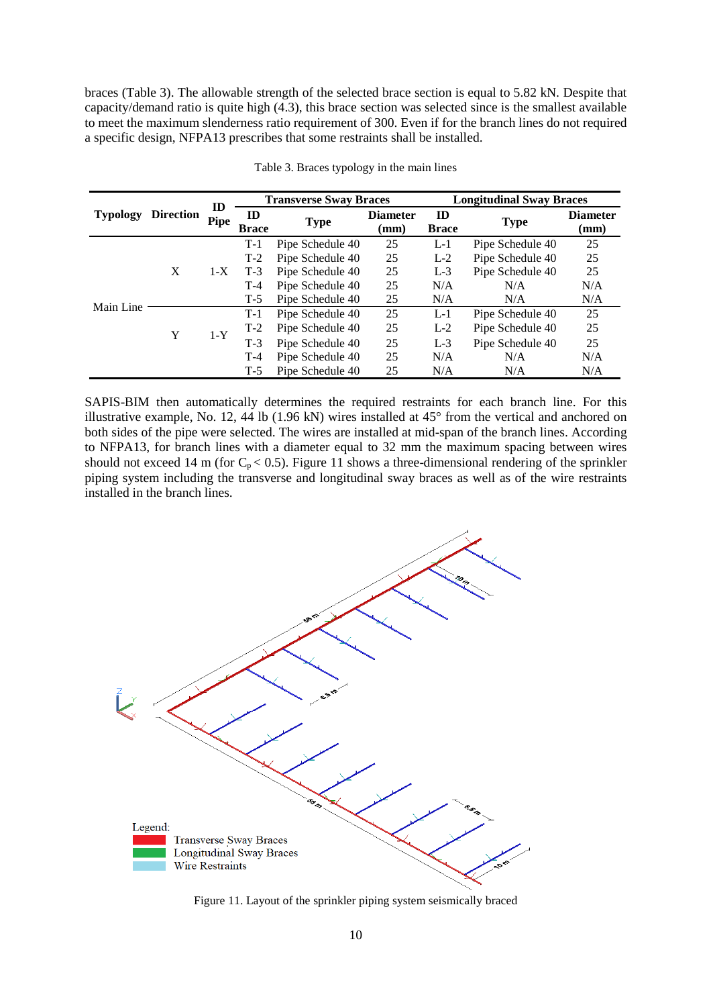braces (Table 3). The allowable strength of the selected brace section is equal to 5.82 kN. Despite that capacity/demand ratio is quite high (4.3), this brace section was selected since is the smallest available to meet the maximum slenderness ratio requirement of 300. Even if for the branch lines do not required a specific design, NFPA13 prescribes that some restraints shall be installed.

|                 | <b>Direction</b> | ID<br>Pipe |                    | <b>Transverse Sway Braces</b> |                         | <b>Longitudinal Sway Braces</b> |                  |                         |
|-----------------|------------------|------------|--------------------|-------------------------------|-------------------------|---------------------------------|------------------|-------------------------|
| <b>Typology</b> |                  |            | ID<br><b>Brace</b> | <b>Type</b>                   | <b>Diameter</b><br>(mm) | ID<br><b>Brace</b>              | <b>Type</b>      | <b>Diameter</b><br>(mm) |
| Main Line       | X                | $1-X$      | $T-1$              | Pipe Schedule 40              | 25                      | $L-1$                           | Pipe Schedule 40 | 25                      |
|                 |                  |            | $T-2$              | Pipe Schedule 40              | 25                      | $L-2$                           | Pipe Schedule 40 | 25                      |
|                 |                  |            | $T-3$              | Pipe Schedule 40              | 25                      | $L-3$                           | Pipe Schedule 40 | 25                      |
|                 |                  |            | $T-4$              | Pipe Schedule 40              | 25                      | N/A                             | N/A              | N/A                     |
|                 |                  |            | $T-5$              | Pipe Schedule 40              | 25                      | N/A                             | N/A              | N/A                     |
|                 | Y                | $1-Y$      | $T-1$              | Pipe Schedule 40              | 25                      | $L-1$                           | Pipe Schedule 40 | 25                      |
|                 |                  |            | $T-2$              | Pipe Schedule 40              | 25                      | $L-2$                           | Pipe Schedule 40 | 25                      |
|                 |                  |            | $T-3$              | Pipe Schedule 40              | 25                      | $L-3$                           | Pipe Schedule 40 | 25                      |
|                 |                  |            | $T-4$              | Pipe Schedule 40              | 25                      | N/A                             | N/A              | N/A                     |
|                 |                  |            | $T-5$              | Pipe Schedule 40              | 25                      | N/A                             | N/A              | N/A                     |

Table 3. Braces typology in the main lines

SAPIS-BIM then automatically determines the required restraints for each branch line. For this illustrative example, No. 12, 44 lb (1.96 kN) wires installed at 45° from the vertical and anchored on both sides of the pipe were selected. The wires are installed at mid-span of the branch lines. According to NFPA13, for branch lines with a diameter equal to 32 mm the maximum spacing between wires should not exceed 14 m (for  $C_p < 0.5$ ). Figure 11 shows a three-dimensional rendering of the sprinkler piping system including the transverse and longitudinal sway braces as well as of the wire restraints installed in the branch lines.



Figure 11. Layout of the sprinkler piping system seismically braced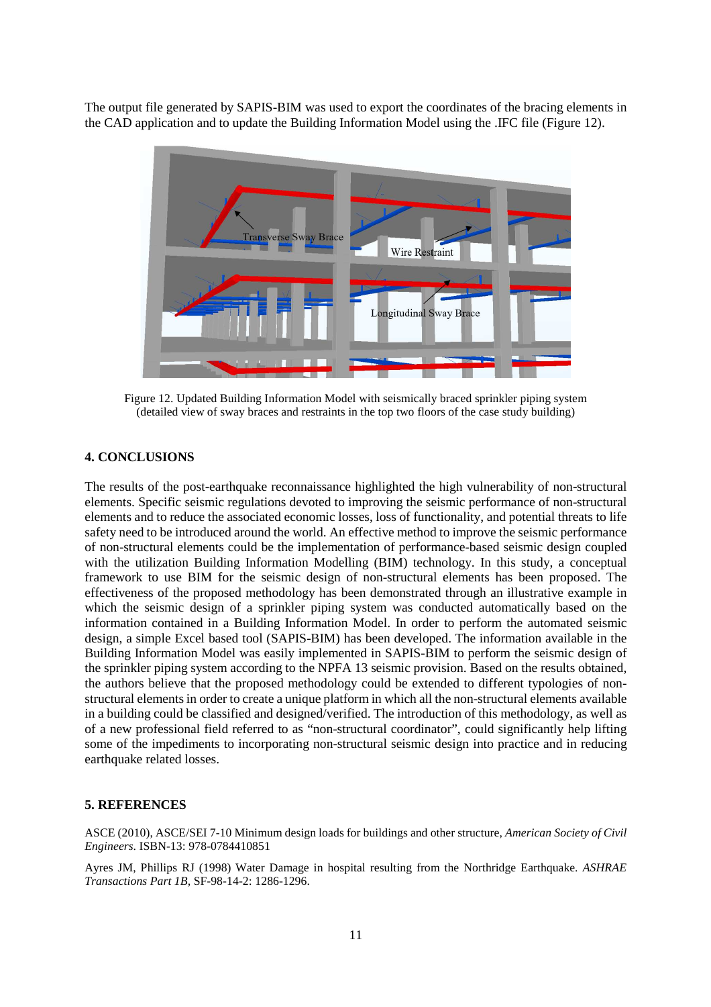The output file generated by SAPIS-BIM was used to export the coordinates of the bracing elements in the CAD application and to update the Building Information Model using the .IFC file (Figure 12).



Figure 12. Updated Building Information Model with seismically braced sprinkler piping system (detailed view of sway braces and restraints in the top two floors of the case study building)

## **4. CONCLUSIONS**

The results of the post-earthquake reconnaissance highlighted the high vulnerability of non-structural elements. Specific seismic regulations devoted to improving the seismic performance of non-structural elements and to reduce the associated economic losses, loss of functionality, and potential threats to life safety need to be introduced around the world. An effective method to improve the seismic performance of non-structural elements could be the implementation of performance-based seismic design coupled with the utilization Building Information Modelling (BIM) technology. In this study, a conceptual framework to use BIM for the seismic design of non-structural elements has been proposed. The effectiveness of the proposed methodology has been demonstrated through an illustrative example in which the seismic design of a sprinkler piping system was conducted automatically based on the information contained in a Building Information Model. In order to perform the automated seismic design, a simple Excel based tool (SAPIS-BIM) has been developed. The information available in the Building Information Model was easily implemented in SAPIS-BIM to perform the seismic design of the sprinkler piping system according to the NPFA 13 seismic provision. Based on the results obtained, the authors believe that the proposed methodology could be extended to different typologies of nonstructural elements in order to create a unique platform in which all the non-structural elements available in a building could be classified and designed/verified. The introduction of this methodology, as well as of a new professional field referred to as "non-structural coordinator", could significantly help lifting some of the impediments to incorporating non-structural seismic design into practice and in reducing earthquake related losses.

#### **5. REFERENCES**

ASCE (2010), ASCE/SEI 7-10 Minimum design loads for buildings and other structure, *American Society of Civil Engineers*. ISBN-13: 978-0784410851

Ayres JM, Phillips RJ (1998) Water Damage in hospital resulting from the Northridge Earthquake. *ASHRAE Transactions Part 1B,* SF-98-14-2: 1286-1296.